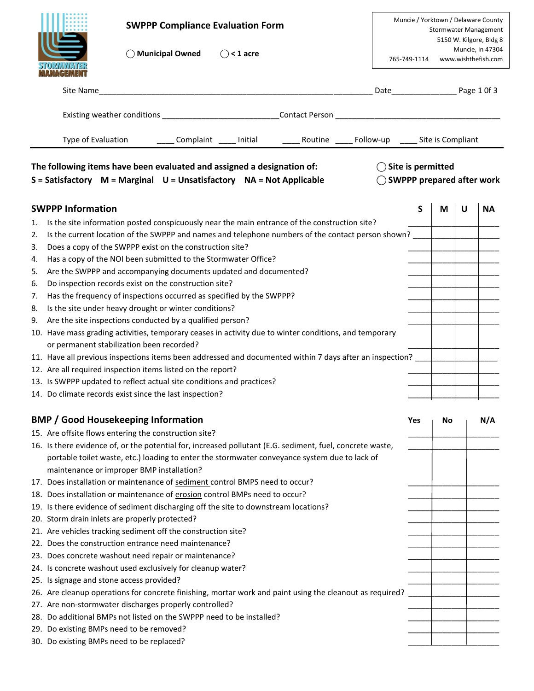|    | <b>SWPPP Compliance Evaluation Form</b><br><b>Municipal Owned</b><br>$\bigcirc$ < 1 acre                                                       |                                                                      | 765-749-1114 |    |   | Muncie / Yorktown / Delaware County<br><b>Stormwater Management</b><br>5150 W. Kilgore, Bldg 8<br>Muncie, In 47304<br>www.wishthefish.com |
|----|------------------------------------------------------------------------------------------------------------------------------------------------|----------------------------------------------------------------------|--------------|----|---|-------------------------------------------------------------------------------------------------------------------------------------------|
|    | Site Name<br><u> 1989 - Johann Harry Harry Harry Harry Harry Harry Harry Harry Harry Harry Harry Harry Harry Harry Harry Harry</u>             | Date Page 1 Of 3                                                     |              |    |   |                                                                                                                                           |
|    | Existing weather conditions _________________________________Contact Person __________________________________                                 |                                                                      |              |    |   |                                                                                                                                           |
|    |                                                                                                                                                |                                                                      |              |    |   |                                                                                                                                           |
|    | The following items have been evaluated and assigned a designation of:<br>S = Satisfactory M = Marginal U = Unsatisfactory NA = Not Applicable | $\bigcirc$ Site is permitted<br>$\bigcirc$ SWPPP prepared after work |              |    |   |                                                                                                                                           |
|    | <b>SWPPP Information</b>                                                                                                                       |                                                                      | S            | М  | U | <b>NA</b>                                                                                                                                 |
| 1. | Is the site information posted conspicuously near the main entrance of the construction site?                                                  |                                                                      |              |    |   |                                                                                                                                           |
| 2. | Is the current location of the SWPPP and names and telephone numbers of the contact person shown?                                              |                                                                      |              |    |   |                                                                                                                                           |
| 3. | Does a copy of the SWPPP exist on the construction site?                                                                                       |                                                                      |              |    |   |                                                                                                                                           |
| 4. | Has a copy of the NOI been submitted to the Stormwater Office?                                                                                 |                                                                      |              |    |   |                                                                                                                                           |
| 5. | Are the SWPPP and accompanying documents updated and documented?                                                                               |                                                                      |              |    |   |                                                                                                                                           |
| 6. | Do inspection records exist on the construction site?                                                                                          |                                                                      |              |    |   |                                                                                                                                           |
| 7. | Has the frequency of inspections occurred as specified by the SWPPP?                                                                           |                                                                      |              |    |   |                                                                                                                                           |
| 8. | Is the site under heavy drought or winter conditions?                                                                                          |                                                                      |              |    |   |                                                                                                                                           |
| 9. | Are the site inspections conducted by a qualified person?                                                                                      |                                                                      |              |    |   |                                                                                                                                           |
|    | 10. Have mass grading activities, temporary ceases in activity due to winter conditions, and temporary                                         |                                                                      |              |    |   |                                                                                                                                           |
|    | or permanent stabilization been recorded?                                                                                                      |                                                                      |              |    |   |                                                                                                                                           |
|    | 11. Have all previous inspections items been addressed and documented within 7 days after an inspection?                                       |                                                                      |              |    |   |                                                                                                                                           |
|    | 12. Are all required inspection items listed on the report?                                                                                    |                                                                      |              |    |   |                                                                                                                                           |
|    | 13. Is SWPPP updated to reflect actual site conditions and practices?                                                                          |                                                                      |              |    |   |                                                                                                                                           |
|    | 14. Do climate records exist since the last inspection?                                                                                        |                                                                      |              |    |   |                                                                                                                                           |
|    |                                                                                                                                                |                                                                      |              |    |   |                                                                                                                                           |
|    | <b>BMP / Good Housekeeping Information</b>                                                                                                     |                                                                      | Yes          | No |   | N/A                                                                                                                                       |
|    | 15. Are offsite flows entering the construction site?                                                                                          |                                                                      |              |    |   |                                                                                                                                           |
|    | 16. Is there evidence of, or the potential for, increased pollutant (E.G. sediment, fuel, concrete waste,                                      |                                                                      |              |    |   |                                                                                                                                           |
|    | portable toilet waste, etc.) loading to enter the stormwater conveyance system due to lack of                                                  |                                                                      |              |    |   |                                                                                                                                           |
|    | maintenance or improper BMP installation?                                                                                                      |                                                                      |              |    |   |                                                                                                                                           |
|    | 17. Does installation or maintenance of sediment control BMPS need to occur?                                                                   |                                                                      |              |    |   |                                                                                                                                           |
|    | 18. Does installation or maintenance of erosion control BMPs need to occur?                                                                    |                                                                      |              |    |   |                                                                                                                                           |
|    | 19. Is there evidence of sediment discharging off the site to downstream locations?                                                            |                                                                      |              |    |   |                                                                                                                                           |
|    | 20. Storm drain inlets are properly protected?                                                                                                 |                                                                      |              |    |   |                                                                                                                                           |
|    | 21. Are vehicles tracking sediment off the construction site?                                                                                  |                                                                      |              |    |   |                                                                                                                                           |
|    | 22. Does the construction entrance need maintenance?                                                                                           |                                                                      |              |    |   |                                                                                                                                           |
|    | 23. Does concrete washout need repair or maintenance?                                                                                          |                                                                      |              |    |   |                                                                                                                                           |
|    | 24. Is concrete washout used exclusively for cleanup water?                                                                                    |                                                                      |              |    |   |                                                                                                                                           |
|    | 25. Is signage and stone access provided?                                                                                                      |                                                                      |              |    |   |                                                                                                                                           |
|    | 26. Are cleanup operations for concrete finishing, mortar work and paint using the cleanout as required?                                       |                                                                      |              |    |   |                                                                                                                                           |
|    | 27. Are non-stormwater discharges properly controlled?                                                                                         |                                                                      |              |    |   |                                                                                                                                           |
|    | 28. Do additional BMPs not listed on the SWPPP need to be installed?                                                                           |                                                                      |              |    |   |                                                                                                                                           |
|    | 29. Do existing BMPs need to be removed?                                                                                                       |                                                                      |              |    |   |                                                                                                                                           |

| 30. Do existing BMPs need to be replaced? |  |  |
|-------------------------------------------|--|--|
|                                           |  |  |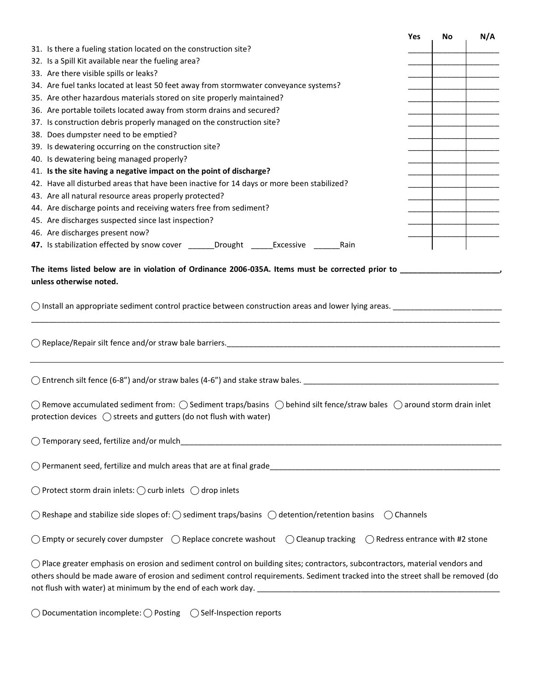|                                                                                                                                                                                                                                                                           | Yes | No | N/A |
|---------------------------------------------------------------------------------------------------------------------------------------------------------------------------------------------------------------------------------------------------------------------------|-----|----|-----|
| 31. Is there a fueling station located on the construction site?                                                                                                                                                                                                          |     |    |     |
| 32. Is a Spill Kit available near the fueling area?                                                                                                                                                                                                                       |     |    |     |
| 33. Are there visible spills or leaks?                                                                                                                                                                                                                                    |     |    |     |
| 34. Are fuel tanks located at least 50 feet away from stormwater conveyance systems?                                                                                                                                                                                      |     |    |     |
| 35. Are other hazardous materials stored on site properly maintained?                                                                                                                                                                                                     |     |    |     |
| 36. Are portable toilets located away from storm drains and secured?                                                                                                                                                                                                      |     |    |     |
| 37. Is construction debris properly managed on the construction site?                                                                                                                                                                                                     |     |    |     |
| 38. Does dumpster need to be emptied?                                                                                                                                                                                                                                     |     |    |     |
| 39. Is dewatering occurring on the construction site?                                                                                                                                                                                                                     |     |    |     |
| 40. Is dewatering being managed properly?                                                                                                                                                                                                                                 |     |    |     |
| 41. Is the site having a negative impact on the point of discharge?                                                                                                                                                                                                       |     |    |     |
| 42. Have all disturbed areas that have been inactive for 14 days or more been stabilized?                                                                                                                                                                                 |     |    |     |
| 43. Are all natural resource areas properly protected?                                                                                                                                                                                                                    |     |    |     |
| 44. Are discharge points and receiving waters free from sediment?                                                                                                                                                                                                         |     |    |     |
| 45. Are discharges suspected since last inspection?                                                                                                                                                                                                                       |     |    |     |
| 46. Are discharges present now?                                                                                                                                                                                                                                           |     |    |     |
| 47. Is stabilization effected by snow cover ______Drought ______Excessive ________Rain                                                                                                                                                                                    |     |    |     |
| $\bigcirc$ Install an appropriate sediment control practice between construction areas and lower lying areas.                                                                                                                                                             |     |    |     |
|                                                                                                                                                                                                                                                                           |     |    |     |
|                                                                                                                                                                                                                                                                           |     |    |     |
| $\bigcirc$ Remove accumulated sediment from: $\bigcirc$ Sediment traps/basins $\bigcirc$ behind silt fence/straw bales $\bigcirc$ around storm drain inlet<br>protection devices $\bigcirc$ streets and gutters (do not flush with water)                                 |     |    |     |
| ◯ Temporary seed, fertilize and/or mulch                                                                                                                                                                                                                                  |     |    |     |
|                                                                                                                                                                                                                                                                           |     |    |     |
| $\bigcirc$ Protect storm drain inlets: $\bigcirc$ curb inlets $\bigcirc$ drop inlets                                                                                                                                                                                      |     |    |     |
| $\bigcirc$ Reshape and stabilize side slopes of: $\bigcirc$ sediment traps/basins $\bigcirc$ detention/retention basins<br>(Channels                                                                                                                                      |     |    |     |
| $\bigcirc$ Empty or securely cover dumpster $\bigcirc$ Replace concrete washout $\bigcirc$ Cleanup tracking $\bigcirc$ Redress entrance with #2 stone                                                                                                                     |     |    |     |
| $\bigcirc$ Place greater emphasis on erosion and sediment control on building sites; contractors, subcontractors, material vendors and<br>others should be made aware of erosion and sediment control requirements. Sediment tracked into the street shall be removed (do |     |    |     |

**⃝** Documentation incomplete: **⃝** Posting **⃝** Self-Inspection reports